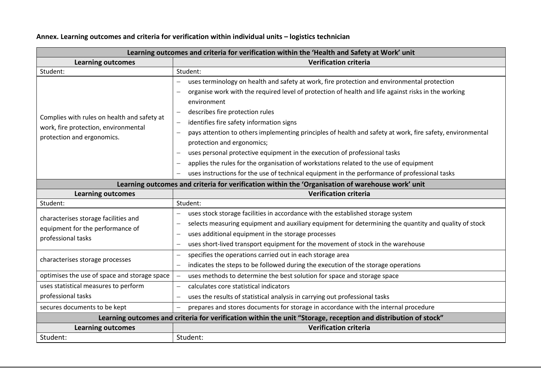| Learning outcomes and criteria for verification within the 'Health and Safety at Work' unit                       |                                                                                                                 |  |
|-------------------------------------------------------------------------------------------------------------------|-----------------------------------------------------------------------------------------------------------------|--|
| <b>Learning outcomes</b>                                                                                          | <b>Verification criteria</b>                                                                                    |  |
| Student:                                                                                                          | Student:                                                                                                        |  |
| Complies with rules on health and safety at<br>work, fire protection, environmental<br>protection and ergonomics. | uses terminology on health and safety at work, fire protection and environmental protection                     |  |
|                                                                                                                   | organise work with the required level of protection of health and life against risks in the working             |  |
|                                                                                                                   | environment                                                                                                     |  |
|                                                                                                                   | describes fire protection rules<br>$\overline{\phantom{0}}$                                                     |  |
|                                                                                                                   | identifies fire safety information signs                                                                        |  |
|                                                                                                                   | pays attention to others implementing principles of health and safety at work, fire safety, environmental       |  |
|                                                                                                                   | protection and ergonomics;                                                                                      |  |
|                                                                                                                   | uses personal protective equipment in the execution of professional tasks                                       |  |
|                                                                                                                   | applies the rules for the organisation of workstations related to the use of equipment                          |  |
|                                                                                                                   | uses instructions for the use of technical equipment in the performance of professional tasks                   |  |
| Learning outcomes and criteria for verification within the 'Organisation of warehouse work' unit                  |                                                                                                                 |  |
| <b>Learning outcomes</b>                                                                                          | <b>Verification criteria</b>                                                                                    |  |
| Student:                                                                                                          | Student:                                                                                                        |  |
| characterises storage facilities and                                                                              | uses stock storage facilities in accordance with the established storage system                                 |  |
| equipment for the performance of                                                                                  | selects measuring equipment and auxiliary equipment for determining the quantity and quality of stock           |  |
| professional tasks                                                                                                | uses additional equipment in the storage processes                                                              |  |
|                                                                                                                   | uses short-lived transport equipment for the movement of stock in the warehouse                                 |  |
| characterises storage processes                                                                                   | specifies the operations carried out in each storage area<br>$\overline{\phantom{0}}$                           |  |
|                                                                                                                   | indicates the steps to be followed during the execution of the storage operations<br>$\overline{\phantom{0}}$   |  |
| optimises the use of space and storage space                                                                      | uses methods to determine the best solution for space and storage space                                         |  |
| uses statistical measures to perform                                                                              | calculates core statistical indicators<br>$\overline{\phantom{m}}$                                              |  |
| professional tasks                                                                                                | uses the results of statistical analysis in carrying out professional tasks<br>$\overline{\phantom{m}}$         |  |
| secures documents to be kept                                                                                      | prepares and stores documents for storage in accordance with the internal procedure<br>$\overline{\phantom{0}}$ |  |
| Learning outcomes and criteria for verification within the unit "Storage, reception and distribution of stock"    |                                                                                                                 |  |
| <b>Learning outcomes</b>                                                                                          | <b>Verification criteria</b>                                                                                    |  |
| Student:                                                                                                          | Student:                                                                                                        |  |

## **Annex. Learning outcomes and criteria for verification within individual units – logistics technician**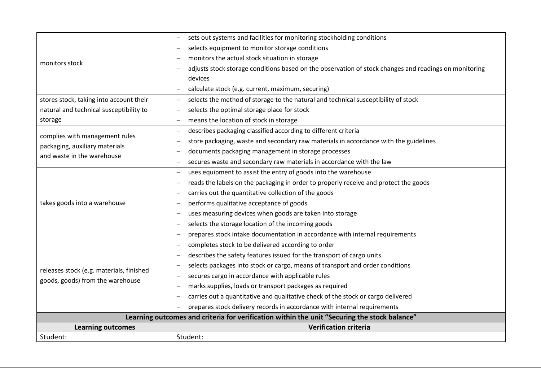| Student:                                                                                       | Student:                                                                                                |  |
|------------------------------------------------------------------------------------------------|---------------------------------------------------------------------------------------------------------|--|
| <b>Learning outcomes</b>                                                                       | <b>Verification criteria</b>                                                                            |  |
| Learning outcomes and criteria for verification within the unit "Securing the stock balance"   |                                                                                                         |  |
|                                                                                                | prepares stock delivery records in accordance with internal requirements                                |  |
| releases stock (e.g. materials, finished<br>goods, goods) from the warehouse                   | carries out a quantitative and qualitative check of the stock or cargo delivered                        |  |
|                                                                                                | marks supplies, loads or transport packages as required                                                 |  |
|                                                                                                | secures cargo in accordance with applicable rules                                                       |  |
|                                                                                                | selects packages into stock or cargo, means of transport and order conditions                           |  |
|                                                                                                | describes the safety features issued for the transport of cargo units                                   |  |
|                                                                                                | completes stock to be delivered according to order<br>$\overline{\phantom{0}}$                          |  |
|                                                                                                | prepares stock intake documentation in accordance with internal requirements                            |  |
|                                                                                                | selects the storage location of the incoming goods                                                      |  |
| takes goods into a warehouse                                                                   | uses measuring devices when goods are taken into storage                                                |  |
|                                                                                                | performs qualitative acceptance of goods                                                                |  |
|                                                                                                | carries out the quantitative collection of the goods                                                    |  |
|                                                                                                | reads the labels on the packaging in order to properly receive and protect the goods                    |  |
|                                                                                                | uses equipment to assist the entry of goods into the warehouse<br>$\overline{\phantom{0}}$              |  |
| complies with management rules<br>packaging, auxiliary materials<br>and waste in the warehouse | secures waste and secondary raw materials in accordance with the law<br>$\overline{\phantom{0}}$        |  |
|                                                                                                | documents packaging management in storage processes<br>$\overline{\phantom{0}}$                         |  |
|                                                                                                | store packaging, waste and secondary raw materials in accordance with the guidelines                    |  |
|                                                                                                | describes packaging classified according to different criteria                                          |  |
| storage                                                                                        | means the location of stock in storage<br>$\overline{\phantom{0}}$                                      |  |
| natural and technical susceptibility to                                                        | selects the optimal storage place for stock                                                             |  |
| stores stock, taking into account their                                                        | selects the method of storage to the natural and technical susceptibility of stock<br>$\qquad \qquad -$ |  |
| monitors stock                                                                                 | calculate stock (e.g. current, maximum, securing)<br>$\overline{\phantom{0}}$                           |  |
|                                                                                                | devices                                                                                                 |  |
|                                                                                                | adjusts stock storage conditions based on the observation of stock changes and readings on monitoring   |  |
|                                                                                                | monitors the actual stock situation in storage                                                          |  |
|                                                                                                | selects equipment to monitor storage conditions                                                         |  |
|                                                                                                | sets out systems and facilities for monitoring stockholding conditions                                  |  |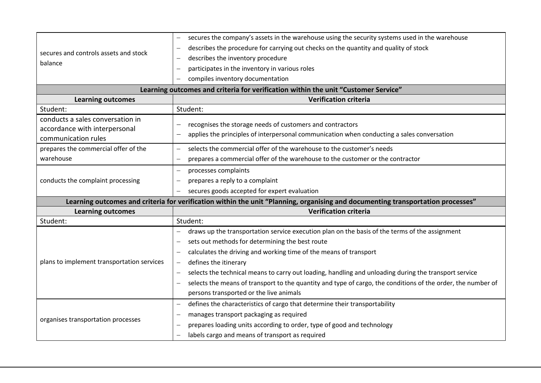| secures and controls assets and stock<br>balance                                   | secures the company's assets in the warehouse using the security systems used in the warehouse                                  |  |
|------------------------------------------------------------------------------------|---------------------------------------------------------------------------------------------------------------------------------|--|
|                                                                                    | describes the procedure for carrying out checks on the quantity and quality of stock                                            |  |
|                                                                                    | describes the inventory procedure                                                                                               |  |
|                                                                                    | participates in the inventory in various roles                                                                                  |  |
|                                                                                    | compiles inventory documentation                                                                                                |  |
| Learning outcomes and criteria for verification within the unit "Customer Service" |                                                                                                                                 |  |
| <b>Learning outcomes</b>                                                           | <b>Verification criteria</b>                                                                                                    |  |
| Student:                                                                           | Student:                                                                                                                        |  |
| conducts a sales conversation in                                                   |                                                                                                                                 |  |
| accordance with interpersonal                                                      | recognises the storage needs of customers and contractors                                                                       |  |
| communication rules                                                                | applies the principles of interpersonal communication when conducting a sales conversation                                      |  |
| prepares the commercial offer of the                                               | selects the commercial offer of the warehouse to the customer's needs<br>$\overline{\phantom{0}}$                               |  |
| warehouse                                                                          | prepares a commercial offer of the warehouse to the customer or the contractor                                                  |  |
| conducts the complaint processing                                                  | processes complaints<br>$\overline{\phantom{0}}$                                                                                |  |
|                                                                                    | prepares a reply to a complaint                                                                                                 |  |
|                                                                                    | secures goods accepted for expert evaluation<br>$\qquad \qquad -$                                                               |  |
|                                                                                    | Learning outcomes and criteria for verification within the unit "Planning, organising and documenting transportation processes" |  |
| <b>Learning outcomes</b>                                                           | <b>Verification criteria</b>                                                                                                    |  |
| Student:                                                                           | Student:                                                                                                                        |  |
| plans to implement transportation services                                         | draws up the transportation service execution plan on the basis of the terms of the assignment                                  |  |
|                                                                                    | sets out methods for determining the best route                                                                                 |  |
|                                                                                    | calculates the driving and working time of the means of transport                                                               |  |
|                                                                                    | defines the itinerary                                                                                                           |  |
|                                                                                    | selects the technical means to carry out loading, handling and unloading during the transport service                           |  |
|                                                                                    | selects the means of transport to the quantity and type of cargo, the conditions of the order, the number of                    |  |
|                                                                                    | persons transported or the live animals                                                                                         |  |
| organises transportation processes                                                 | defines the characteristics of cargo that determine their transportability<br>$\overline{\phantom{0}}$                          |  |
|                                                                                    | manages transport packaging as required                                                                                         |  |
|                                                                                    | prepares loading units according to order, type of good and technology                                                          |  |
|                                                                                    | labels cargo and means of transport as required                                                                                 |  |
|                                                                                    |                                                                                                                                 |  |